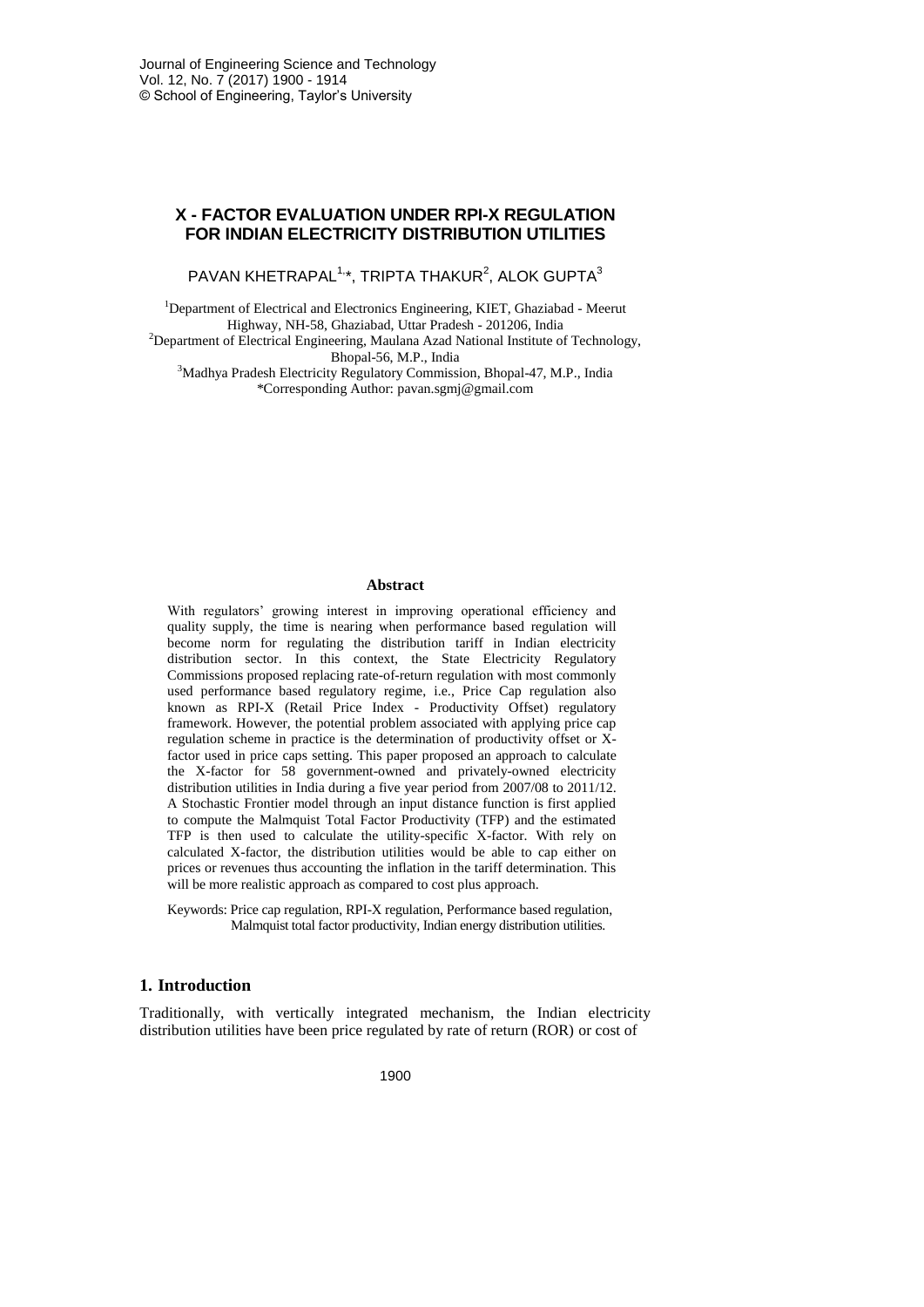# **X - FACTOR EVALUATION UNDER RPI-X REGULATION FOR INDIAN ELECTRICITY DISTRIBUTION UTILITIES**

 $PAVAN KHETRAPAL<sup>1,*</sup>, TRIPTA THAKUR<sup>2</sup>, ALOK GUPTA<sup>3</sup>$ 

<sup>1</sup>Department of Electrical and Electronics Engineering, KIET, Ghaziabad - Meerut Highway, NH-58, Ghaziabad, Uttar Pradesh - 201206, India

<sup>2</sup>Department of Electrical Engineering, Maulana Azad National Institute of Technology, Bhopal-56, M.P., India

<sup>3</sup>Madhya Pradesh Electricity Regulatory Commission, Bhopal-47, M.P., India \*Corresponding Author: pavan.sgmj@gmail.com

#### **Abstract**

With regulators' growing interest in improving operational efficiency and quality supply, the time is nearing when performance based regulation will become norm for regulating the distribution tariff in Indian electricity distribution sector. In this context, the State Electricity Regulatory Commissions proposed replacing rate-of-return regulation with most commonly used performance based regulatory regime, i.e., Price Cap regulation also known as RPI-X (Retail Price Index - Productivity Offset) regulatory framework. However, the potential problem associated with applying price cap regulation scheme in practice is the determination of productivity offset or Xfactor used in price caps setting. This paper proposed an approach to calculate the X-factor for 58 government-owned and privately-owned electricity distribution utilities in India during a five year period from 2007/08 to 2011/12. A Stochastic Frontier model through an input distance function is first applied to compute the Malmquist Total Factor Productivity (TFP) and the estimated TFP is then used to calculate the utility-specific X-factor. With rely on calculated X-factor, the distribution utilities would be able to cap either on prices or revenues thus accounting the inflation in the tariff determination. This will be more realistic approach as compared to cost plus approach.

Keywords: Price cap regulation, RPI-X regulation, Performance based regulation, Malmquist total factor productivity, Indian energy distribution utilities.

## **1. Introduction**

Traditionally, with vertically integrated mechanism, the Indian electricity distribution utilities have been price regulated by rate of return (ROR) or cost of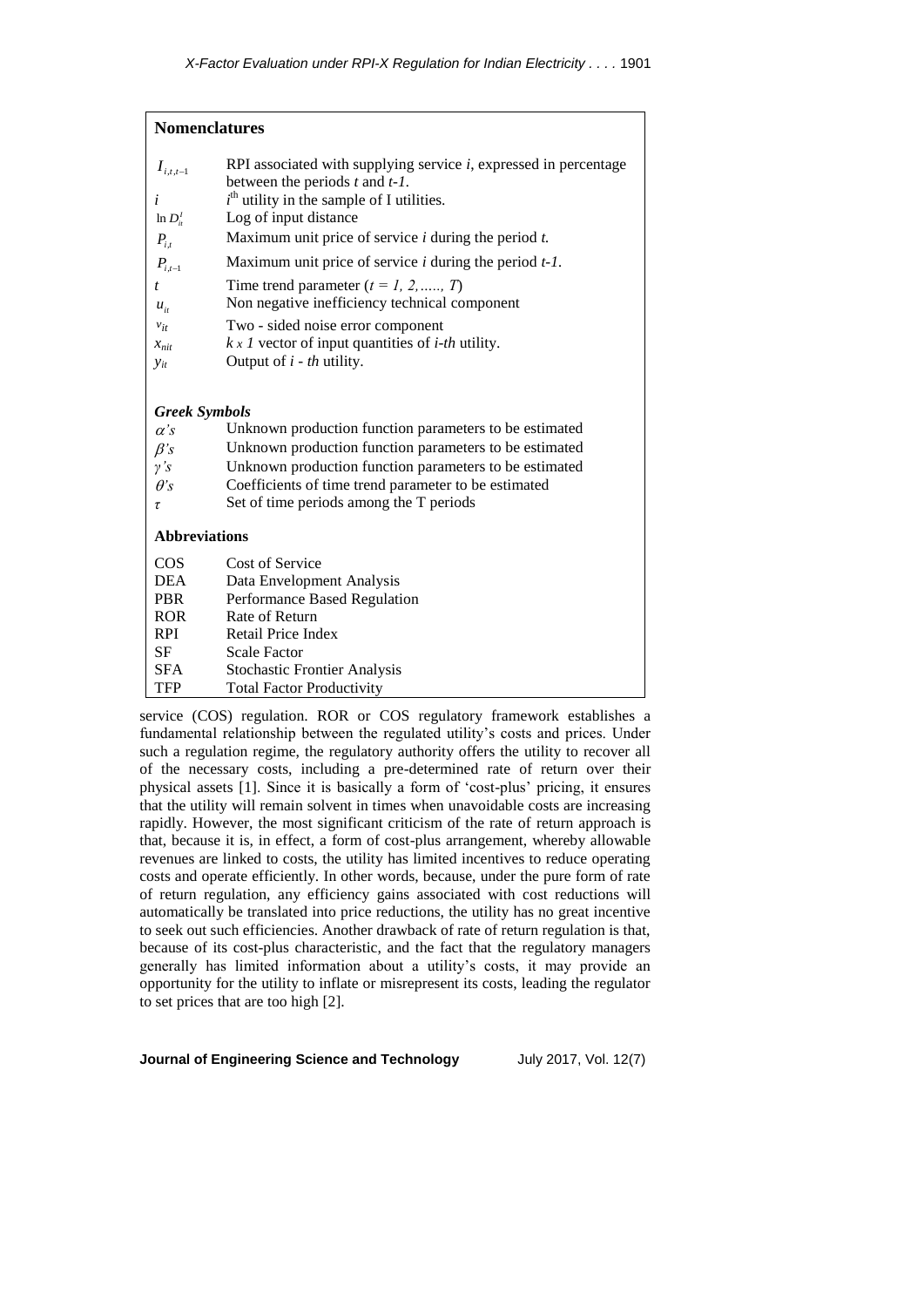| <b>Nomenclatures</b>                           |                                                                                                                                                                                                                                                 |
|------------------------------------------------|-------------------------------------------------------------------------------------------------------------------------------------------------------------------------------------------------------------------------------------------------|
| $I_{i,t,t-1}$<br>i<br>$\ln D_i^I$<br>$P_{i,t}$ | RPI associated with supplying service $i$ , expressed in percentage<br>between the periods $t$ and $t-1$ .<br>$ith$ utility in the sample of I utilities.<br>Log of input distance<br>Maximum unit price of service $i$ during the period $t$ . |
| $P_{i,t-1}$                                    | Maximum unit price of service $i$ during the period $t$ -1.                                                                                                                                                                                     |
| t<br>$u_{i}$                                   | Time trend parameter $(t = 1, 2, \ldots, T)$<br>Non negative inefficiency technical component                                                                                                                                                   |
| $v_{it}$<br>$x_{nit}$<br>$y_{it}$              | Two - sided noise error component<br>$k \times 1$ vector of input quantities of <i>i-th</i> utility.<br>Output of $i$ - th utility.                                                                                                             |
| <b>Greek Symbols</b>                           |                                                                                                                                                                                                                                                 |
| $\alpha$ 's                                    | Unknown production function parameters to be estimated                                                                                                                                                                                          |
| $\beta$ 's                                     | Unknown production function parameters to be estimated                                                                                                                                                                                          |
| $\gamma$ 's                                    | Unknown production function parameters to be estimated                                                                                                                                                                                          |
| $\theta$ 's<br>τ                               | Coefficients of time trend parameter to be estimated<br>Set of time periods among the T periods                                                                                                                                                 |
| <b>Abbreviations</b>                           |                                                                                                                                                                                                                                                 |
| $\cos$                                         | Cost of Service                                                                                                                                                                                                                                 |
| <b>DEA</b>                                     | Data Envelopment Analysis                                                                                                                                                                                                                       |
| <b>PBR</b>                                     | Performance Based Regulation                                                                                                                                                                                                                    |
| <b>ROR</b>                                     | Rate of Return                                                                                                                                                                                                                                  |
| <b>RPI</b>                                     | Retail Price Index                                                                                                                                                                                                                              |
| SF                                             | <b>Scale Factor</b>                                                                                                                                                                                                                             |
| <b>SFA</b>                                     | <b>Stochastic Frontier Analysis</b>                                                                                                                                                                                                             |
| TFP                                            | <b>Total Factor Productivity</b>                                                                                                                                                                                                                |

service (COS) regulation. ROR or COS regulatory framework establishes a fundamental relationship between the regulated utility's costs and prices. Under such a regulation regime, the regulatory authority offers the utility to recover all of the necessary costs, including a pre-determined rate of return over their physical assets [1]. Since it is basically a form of 'cost-plus' pricing, it ensures that the utility will remain solvent in times when unavoidable costs are increasing rapidly. However, the most significant criticism of the rate of return approach is that, because it is, in effect, a form of cost-plus arrangement, whereby allowable revenues are linked to costs, the utility has limited incentives to reduce operating costs and operate efficiently. In other words, because, under the pure form of rate of return regulation, any efficiency gains associated with cost reductions will automatically be translated into price reductions, the utility has no great incentive to seek out such efficiencies. Another drawback of rate of return regulation is that, because of its cost-plus characteristic, and the fact that the regulatory managers generally has limited information about a utility's costs, it may provide an opportunity for the utility to inflate or misrepresent its costs, leading the regulator to set prices that are too high [2].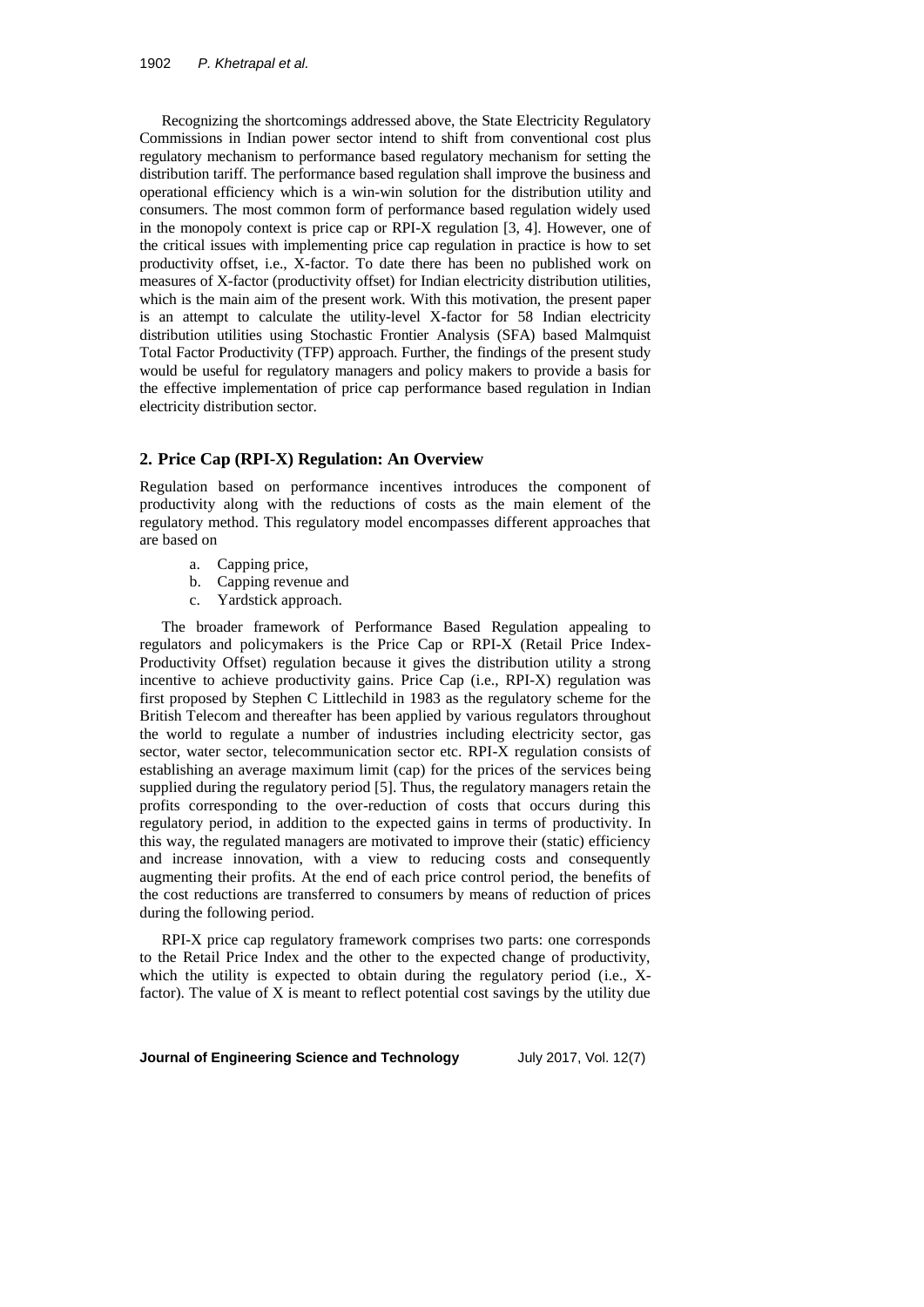Recognizing the shortcomings addressed above, the State Electricity Regulatory Commissions in Indian power sector intend to shift from conventional cost plus regulatory mechanism to performance based regulatory mechanism for setting the distribution tariff. The performance based regulation shall improve the business and operational efficiency which is a win-win solution for the distribution utility and consumers. The most common form of performance based regulation widely used in the monopoly context is price cap or RPI-X regulation [3, 4]. However, one of the critical issues with implementing price cap regulation in practice is how to set productivity offset, i.e., X-factor. To date there has been no published work on measures of X-factor (productivity offset) for Indian electricity distribution utilities, which is the main aim of the present work. With this motivation, the present paper is an attempt to calculate the utility-level X-factor for 58 Indian electricity distribution utilities using Stochastic Frontier Analysis (SFA) based Malmquist Total Factor Productivity (TFP) approach. Further, the findings of the present study would be useful for regulatory managers and policy makers to provide a basis for the effective implementation of price cap performance based regulation in Indian electricity distribution sector.

## **2. Price Cap (RPI-X) Regulation: An Overview**

Regulation based on performance incentives introduces the component of productivity along with the reductions of costs as the main element of the regulatory method. This regulatory model encompasses different approaches that are based on

- a. Capping price,
- b. Capping revenue and
- c. Yardstick approach.

The broader framework of Performance Based Regulation appealing to regulators and policymakers is the Price Cap or RPI-X (Retail Price Index-Productivity Offset) regulation because it gives the distribution utility a strong incentive to achieve productivity gains. Price Cap (i.e., RPI-X) regulation was first proposed by Stephen C Littlechild in 1983 as the regulatory scheme for the British Telecom and thereafter has been applied by various regulators throughout the world to regulate a number of industries including electricity sector, gas sector, water sector, telecommunication sector etc. RPI-X regulation consists of establishing an average maximum limit (cap) for the prices of the services being supplied during the regulatory period [5]. Thus, the regulatory managers retain the profits corresponding to the over-reduction of costs that occurs during this regulatory period, in addition to the expected gains in terms of productivity. In this way, the regulated managers are motivated to improve their (static) efficiency and increase innovation, with a view to reducing costs and consequently augmenting their profits. At the end of each price control period, the benefits of the cost reductions are transferred to consumers by means of reduction of prices during the following period.

RPI-X price cap regulatory framework comprises two parts: one corresponds to the Retail Price Index and the other to the expected change of productivity, which the utility is expected to obtain during the regulatory period (i.e., Xfactor). The value of X is meant to reflect potential cost savings by the utility due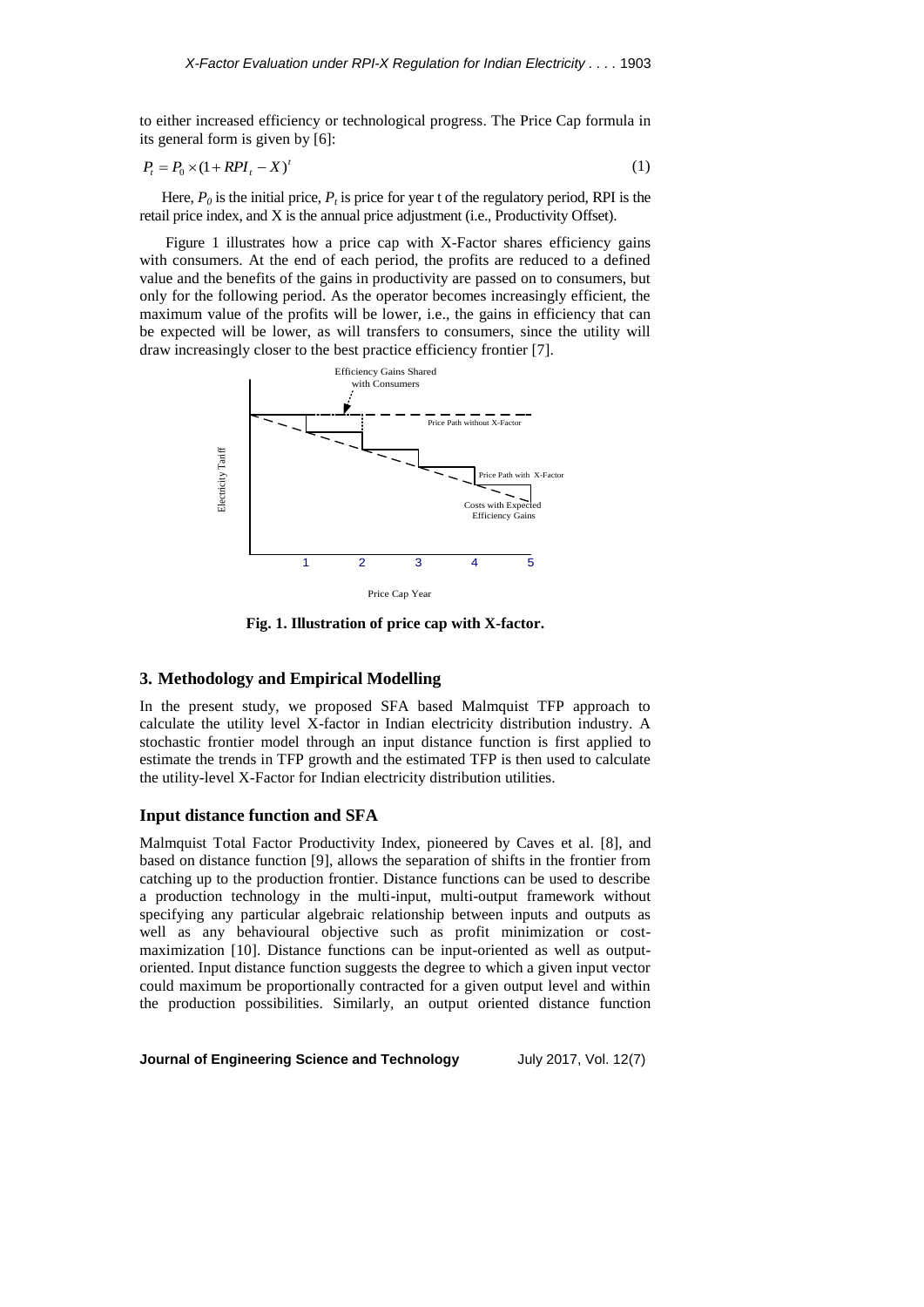to either increased efficiency or technological progress. The Price Cap formula in its general form is given by [6]:

$$
P_t = P_0 \times (1 + RPI_t - X)^t \tag{1}
$$

Here,  $P_0$  is the initial price,  $P_t$  is price for year t of the regulatory period, RPI is the retail price index, and X is the annual price adjustment (i.e., Productivity Offset).

Figure 1 illustrates how a price cap with X-Factor shares efficiency gains with consumers. At the end of each period, the profits are reduced to a defined value and the benefits of the gains in productivity are passed on to consumers, but only for the following period. As the operator becomes increasingly efficient, the maximum value of the profits will be lower, i.e., the gains in efficiency that can be expected will be lower, as will transfers to consumers, since the utility will draw increasingly closer to the best practice efficiency frontier [7].



**Fig. 1. Illustration of price cap with X-factor.**

## **3. Methodology and Empirical Modelling**

In the present study, we proposed SFA based Malmquist TFP approach to calculate the utility level X-factor in Indian electricity distribution industry. A stochastic frontier model through an input distance function is first applied to estimate the trends in TFP growth and the estimated TFP is then used to calculate the utility-level X-Factor for Indian electricity distribution utilities.

# **Input distance function and SFA**

Malmquist Total Factor Productivity Index, pioneered by Caves et al. [8], and based on distance function [9], allows the separation of shifts in the frontier from catching up to the production frontier. Distance functions can be used to describe a production technology in the multi-input, multi-output framework without specifying any particular algebraic relationship between inputs and outputs as well as any behavioural objective such as profit minimization or costmaximization [10]. Distance functions can be input-oriented as well as outputoriented. Input distance function suggests the degree to which a given input vector could maximum be proportionally contracted for a given output level and within the production possibilities. Similarly, an output oriented distance function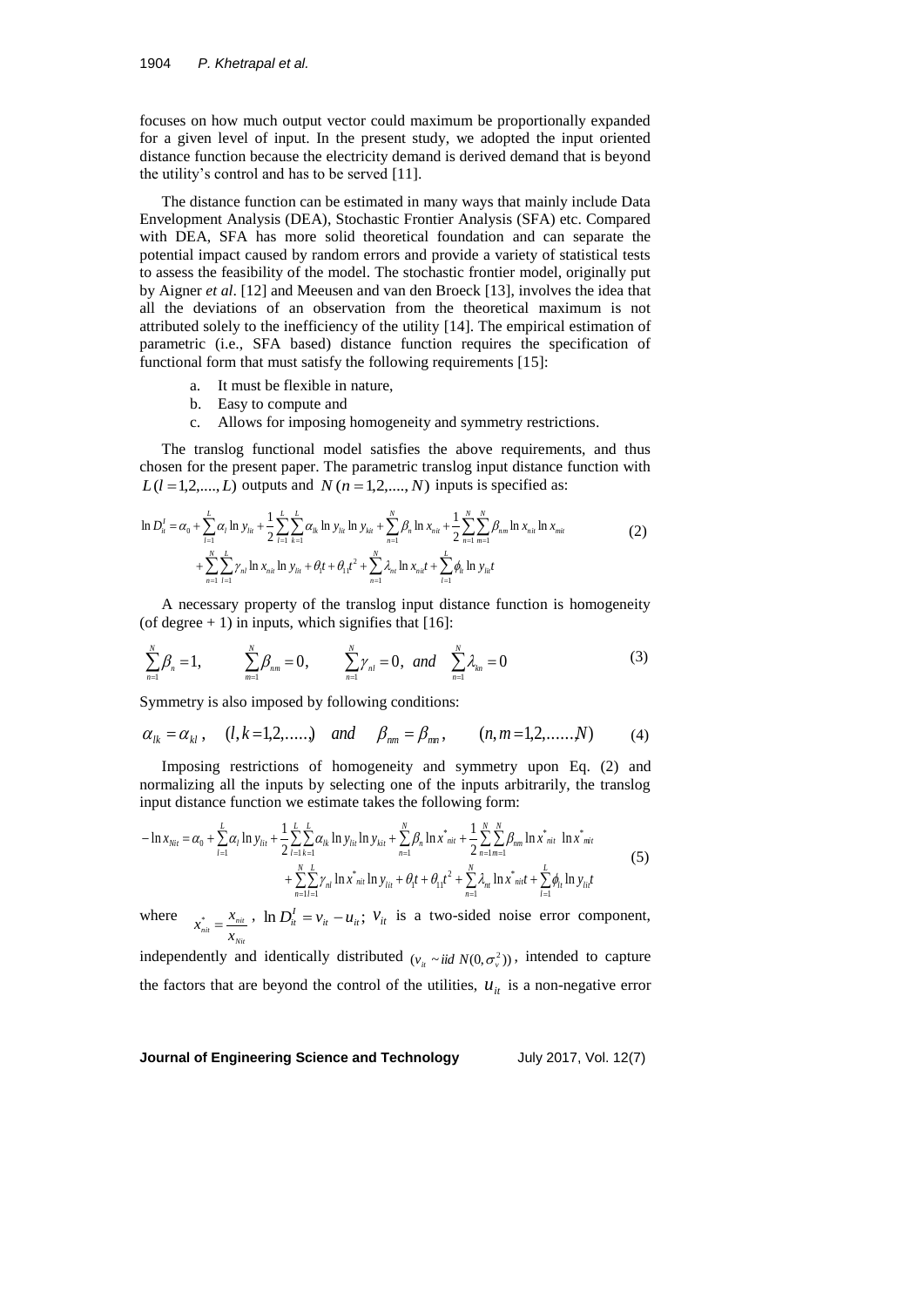focuses on how much output vector could maximum be proportionally expanded for a given level of input. In the present study, we adopted the input oriented distance function because the electricity demand is derived demand that is beyond the utility's control and has to be served [11].

The distance function can be estimated in many ways that mainly include Data Envelopment Analysis (DEA), Stochastic Frontier Analysis (SFA) etc. Compared with DEA, SFA has more solid theoretical foundation and can separate the potential impact caused by random errors and provide a variety of statistical tests to assess the feasibility of the model. The stochastic frontier model, originally put by Aigner *et al*. [12] and Meeusen and van den Broeck [13], involves the idea that all the deviations of an observation from the theoretical maximum is not attributed solely to the inefficiency of the utility [14]. The empirical estimation of parametric (i.e., SFA based) distance function requires the specification of functional form that must satisfy the following requirements [15]:

- a. It must be flexible in nature,
- b. Easy to compute and
- c. Allows for imposing homogeneity and symmetry restrictions.

The translog functional model satisfies the above requirements, and thus chosen for the present paper. The parametric translog input distance function with  $L(l=1,2,..., L)$  outputs and  $N(n=1,2,..., N)$  inputs is specified as:

$$
\ln D_{ii}^I = \alpha_0 + \sum_{l=1}^L \alpha_l \ln y_{lil} + \frac{1}{2} \sum_{l=1}^L \sum_{k=1}^L \alpha_{lk} \ln y_{lil} \ln y_{kil} + \sum_{n=1}^N \beta_n \ln x_{nil} + \frac{1}{2} \sum_{n=1}^N \sum_{m=1}^N \beta_{nm} \ln x_{nil} \ln x_{mil} + \sum_{n=1}^N \sum_{l=1}^L \gamma_{nl} \ln x_{nil} \ln y_{lil} + \theta_1 t + \theta_1 t^2 + \sum_{n=1}^N \lambda_{ni} \ln x_{nil} + \sum_{l=1}^L \phi_l \ln y_{lil} t
$$
\n(2)

A necessary property of the translog input distance function is homogeneity (of degree  $+ 1$ ) in inputs, which signifies that [16]:

$$
\sum_{n=1}^{N} \beta_n = 1, \qquad \sum_{m=1}^{N} \beta_{nm} = 0, \qquad \sum_{n=1}^{N} \gamma_n = 0, \text{ and } \sum_{n=1}^{N} \lambda_n = 0 \qquad (3)
$$

Symmetry is also imposed by following conditions:

$$
\alpha_{lk} = \alpha_{kl}
$$
,  $(l, k = 1, 2, ....)$  and  $\beta_{nm} = \beta_{mn}$ ,  $(n, m = 1, 2, ......N)$  (4)

Imposing restrictions of homogeneity and symmetry upon Eq. (2) and normalizing all the inputs by selecting one of the inputs arbitrarily, the translog input distance function we estimate takes the following form:

$$
-\ln x_{Nit} = \alpha_0 + \sum_{l=1}^{L} \alpha_l \ln y_{lit} + \frac{1}{2} \sum_{l=1}^{L} \sum_{k=1}^{L} \alpha_{lk} \ln y_{lit} \ln y_{kit} + \sum_{n=1}^{N} \beta_n \ln x_{nit}^* + \frac{1}{2} \sum_{n=1}^{N} \sum_{m=1}^{N} \beta_{mn} \ln x_{nit}^* \ln x_{mit}^*
$$
  
+ 
$$
\sum_{n=1}^{N} \sum_{l=1}^{L} \gamma_{nl} \ln x_{nit}^* \ln y_{lit} + \theta_l t + \theta_{11} t^2 + \sum_{n=1}^{N} \lambda_{nl} \ln x_{init}^* + \sum_{l=1}^{L} \phi_{li} \ln y_{li} t
$$
  
where

where *Nit*  $\frac{N_{nit}}{N_{Nit}} = \frac{N_{nit}}{X_{Nit}}$  $x_{ni}^{*} = \frac{x_{ni}}{h}$ ,  $\ln D_{it}^{I} = v_{it} - u_{it}$ ;  $v_{it}$  is a two-sided noise error component,

independently and identically distributed  $(v_{ii} \sim \text{iid } N(0, \sigma_v^2))$ , intended to capture the factors that are beyond the control of the utilities,  $u_{it}$  is a non-negative error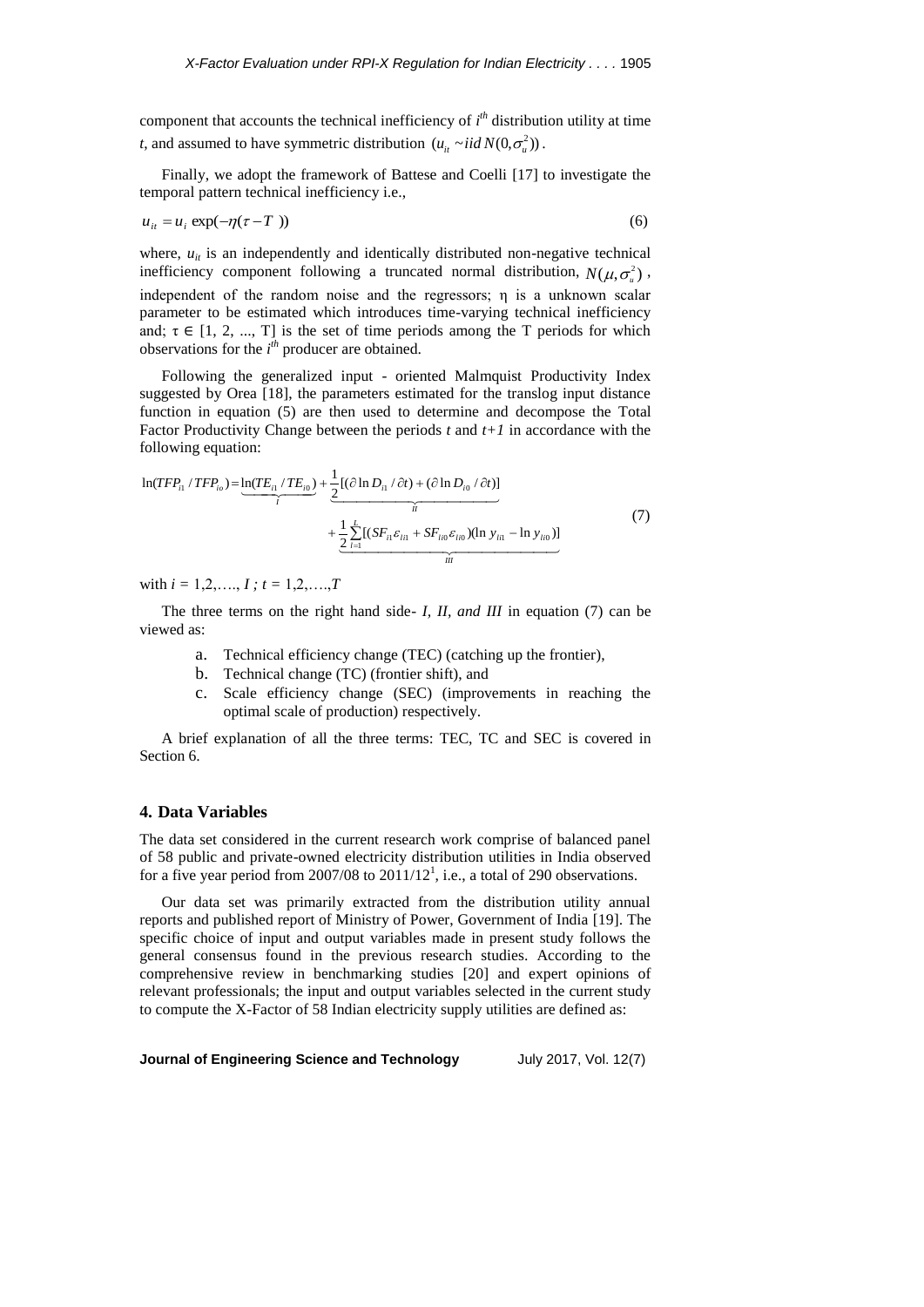component that accounts the technical inefficiency of  $i<sup>th</sup>$  distribution utility at time *t*, and assumed to have symmetric distribution  $(u_{it} \sim iid N(0, \sigma_u^2))$ .

Finally, we adopt the framework of Battese and Coelli [17] to investigate the temporal pattern technical inefficiency i.e.,

 $u_{it} = u_i \exp(-\eta(\tau - T))$  (6)

where,  $u_{it}$  is an independently and identically distributed non-negative technical inefficiency component following a truncated normal distribution,  $N(\mu, \sigma_u^2)$ , independent of the random noise and the regressors; η is a unknown scalar parameter to be estimated which introduces time-varying technical inefficiency and;  $\tau \in [1, 2, ..., T]$  is the set of time periods among the T periods for which observations for the  $i<sup>th</sup>$  producer are obtained.

Following the generalized input - oriented Malmquist Productivity Index suggested by Orea [18], the parameters estimated for the translog input distance function in equation (5) are then used to determine and decompose the Total Factor Productivity Change between the periods *t* and *t+1* in accordance with the following equation:

following equation:  
\n
$$
\ln(TFP_{i1}/TFP_{i0}) = \underbrace{\ln(TE_{i1}/TE_{i0})}_{\text{max}} + \underbrace{\frac{1}{2}[(\partial \ln D_{i1}/\partial t) + (\partial \ln D_{i0}/\partial t)]}_{\text{max}} + \underbrace{\frac{1}{2} \sum_{l=1}^{L} [(SF_{i1}E_{l11} + SF_{l10}E_{l10})(\ln y_{l11} - \ln y_{l10})]}_{\text{min}}
$$
\n(7)

with  $i = 1, 2, \ldots, I$ ;  $t = 1, 2, \ldots, T$ 

The three terms on the right hand side- *I, II, and III* in equation (7) can be viewed as:

- a. Technical efficiency change (TEC) (catching up the frontier),
- b. Technical change (TC) (frontier shift), and
- c. Scale efficiency change (SEC) (improvements in reaching the optimal scale of production) respectively.

A brief explanation of all the three terms: TEC, TC and SEC is covered in Section 6.

# **4. Data Variables**

The data set considered in the current research work comprise of balanced panel of 58 public and private-owned electricity distribution utilities in India observed for a five year period from 2007/08 to  $2011/12<sup>1</sup>$ , i.e., a total of 290 observations.

Our data set was primarily extracted from the distribution utility annual reports and published report of Ministry of Power, Government of India [19]. The specific choice of input and output variables made in present study follows the general consensus found in the previous research studies. According to the comprehensive review in benchmarking studies [20] and expert opinions of relevant professionals; the input and output variables selected in the current study to compute the X-Factor of 58 Indian electricity supply utilities are defined as: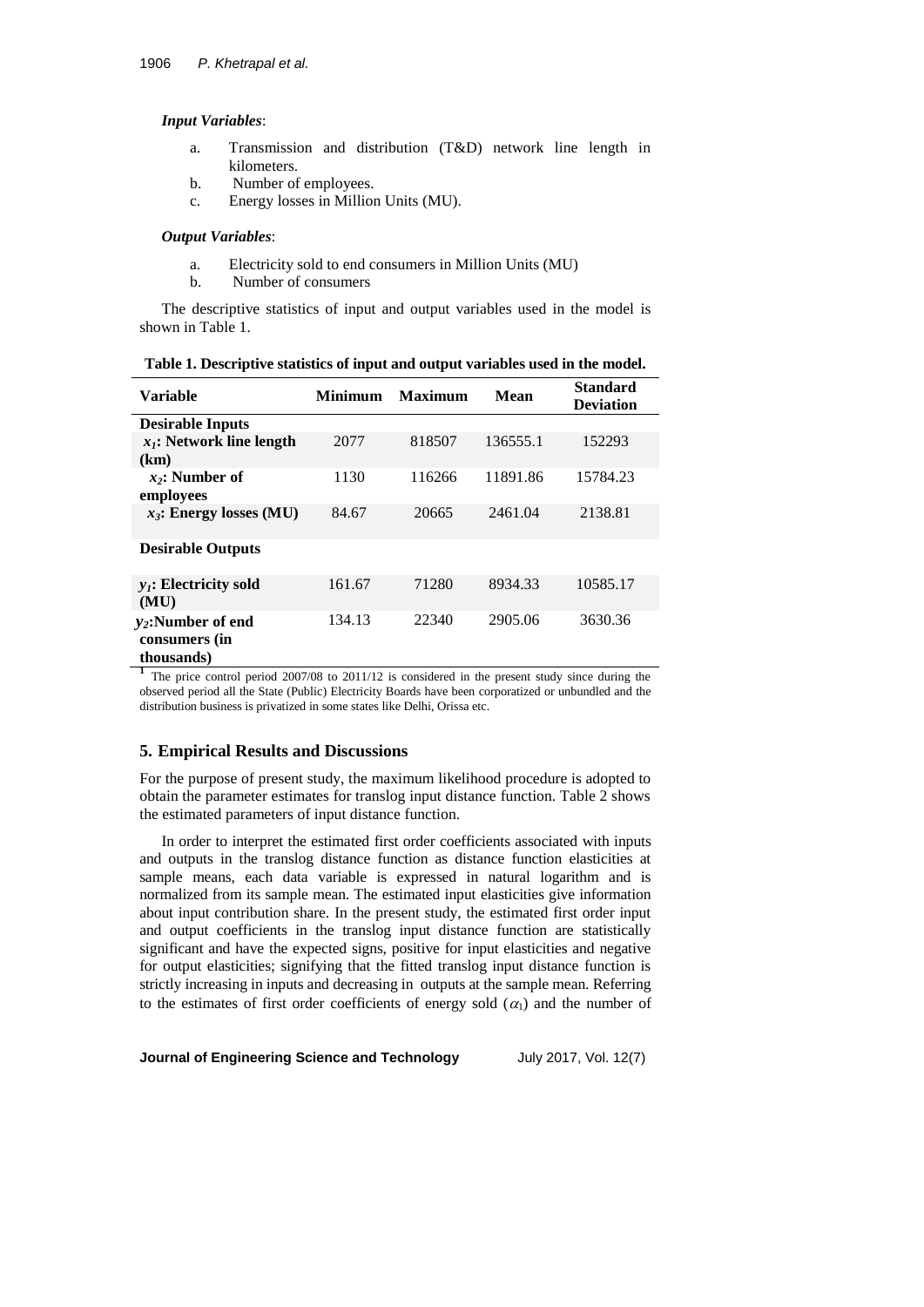#### *Input Variables*:

- a. Transmission and distribution (T&D) network line length in kilometers.
- b. Number of employees.
- c. Energy losses in Million Units (MU).

#### *Output Variables*:

- a. Electricity sold to end consumers in Million Units (MU)
- b. Number of consumers

The descriptive statistics of input and output variables used in the model is shown in Table 1.

| Variable                                            | <b>Minimum</b> | <b>Maximum</b> | Mean     | <b>Standard</b><br><b>Deviation</b> |
|-----------------------------------------------------|----------------|----------------|----------|-------------------------------------|
| <b>Desirable Inputs</b>                             |                |                |          |                                     |
| $x_i$ : Network line length<br>(km)                 | 2077           | 818507         | 136555.1 | 152293                              |
| $x_2$ : Number of<br>employees                      | 1130           | 116266         | 11891.86 | 15784.23                            |
| $x_3$ : Energy losses (MU)                          | 84.67          | 20665          | 2461.04  | 2138.81                             |
| <b>Desirable Outputs</b>                            |                |                |          |                                     |
| $y_i$ : Electricity sold<br>(MU)                    | 161.67         | 71280          | 8934.33  | 10585.17                            |
| $y_2$ :Number of end<br>consumers (in<br>thousands) | 134.13         | 22340          | 2905.06  | 3630.36                             |

**Table 1. Descriptive statistics of input and output variables used in the model.**

**1** The price control period 2007/08 to 2011/12 is considered in the present study since during the observed period all the State (Public) Electricity Boards have been corporatized or unbundled and the distribution business is privatized in some states like Delhi, Orissa etc.

## **5. Empirical Results and Discussions**

For the purpose of present study, the maximum likelihood procedure is adopted to obtain the parameter estimates for translog input distance function. Table 2 shows the estimated parameters of input distance function.

In order to interpret the estimated first order coefficients associated with inputs and outputs in the translog distance function as distance function elasticities at sample means, each data variable is expressed in natural logarithm and is normalized from its sample mean. The estimated input elasticities give information about input contribution share. In the present study, the estimated first order input and output coefficients in the translog input distance function are statistically significant and have the expected signs, positive for input elasticities and negative for output elasticities; signifying that the fitted translog input distance function is strictly increasing in inputs and decreasing in outputs at the sample mean. Referring to the estimates of first order coefficients of energy sold  $(\alpha_1)$  and the number of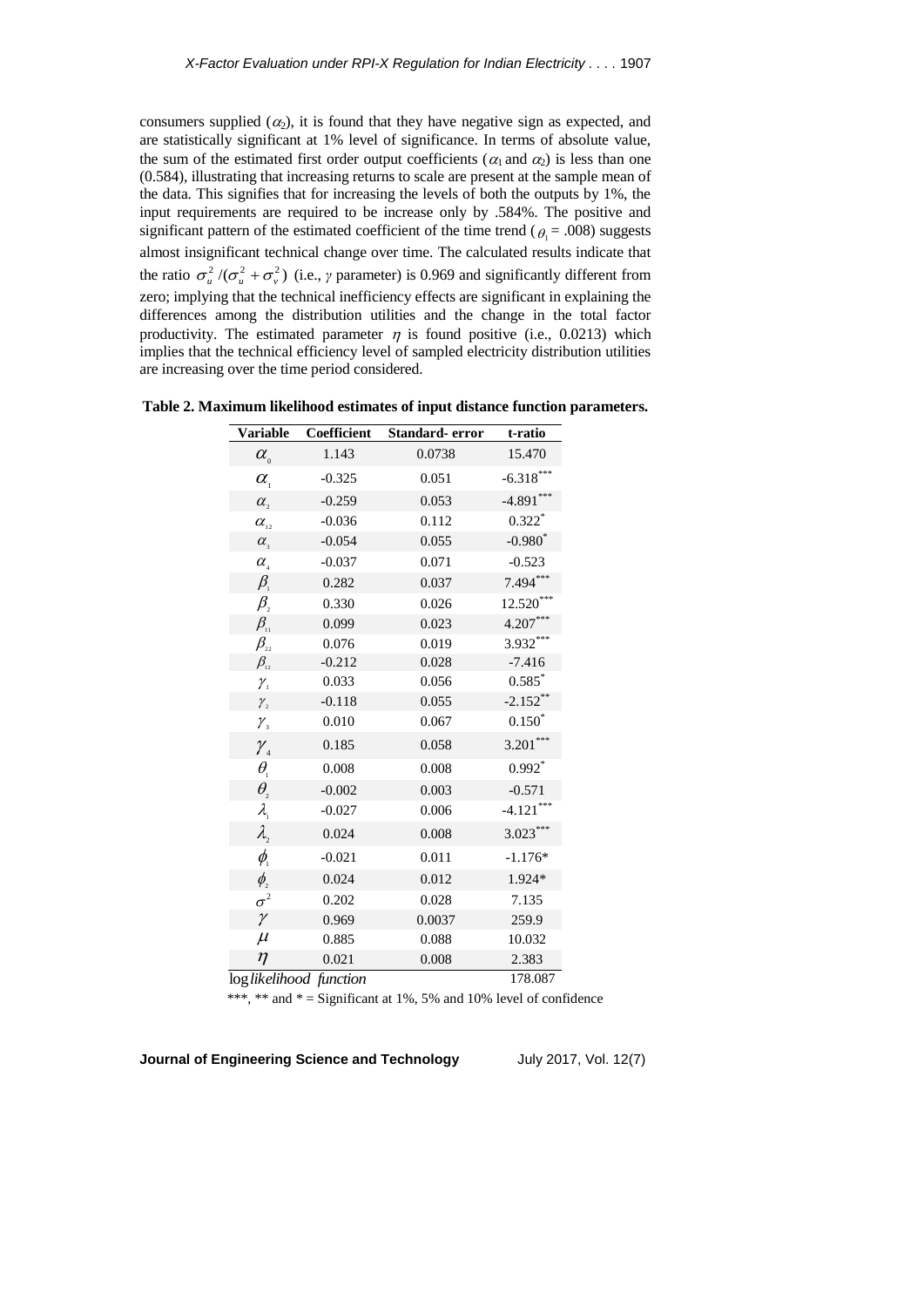consumers supplied  $(\alpha_2)$ , it is found that they have negative sign as expected, and are statistically significant at 1% level of significance. In terms of absolute value, the sum of the estimated first order output coefficients ( $\alpha_1$  and  $\alpha_2$ ) is less than one (0.584), illustrating that increasing returns to scale are present at the sample mean of the data. This signifies that for increasing the levels of both the outputs by 1%, the input requirements are required to be increase only by .584%. The positive and significant pattern of the estimated coefficient of the time trend ( $\theta_1 = .008$ ) suggests almost insignificant technical change over time. The calculated results indicate that the ratio  $\sigma_u^2/(\sigma_u^2 + \sigma_v^2)$  (i.e., *γ* parameter) is 0.969 and significantly different from zero; implying that the technical inefficiency effects are significant in explaining the differences among the distribution utilities and the change in the total factor productivity. The estimated parameter  $\eta$  is found positive (i.e., 0.0213) which implies that the technical efficiency level of sampled electricity distribution utilities are increasing over the time period considered.

| <b>Variable</b>                                        | Coefficient             | Standard-error | t-ratio     |
|--------------------------------------------------------|-------------------------|----------------|-------------|
| $\alpha_{\scriptscriptstyle 0}^{\scriptscriptstyle 0}$ | 1.143                   | 0.0738         | 15.470      |
| $\alpha_{\rm i}$                                       | $-0.325$                | 0.051          | $-6.318***$ |
| $\alpha$ ,                                             | $-0.259$                | 0.053          | $-4.891***$ |
| $\alpha_{\scriptscriptstyle{12}}^{\phantom{\dagger}}$  | $-0.036$                | 0.112          | $0.322*$    |
| $\alpha_{\rm s}$                                       | $-0.054$                | 0.055          | $-0.980^*$  |
| $\alpha_{\rm A}$                                       | $-0.037$                | 0.071          | $-0.523$    |
| $\beta_{\scriptscriptstyle 1}$                         | 0.282                   | 0.037          | $7.494***$  |
| $\beta_{\scriptscriptstyle 2}$                         | 0.330                   | 0.026          | 12.520***   |
| $\beta_{\rm n}$                                        | 0.099                   | 0.023          | 4.207***    |
| $\beta_{\scriptscriptstyle{22}}$                       | 0.076                   | 0.019          | $3.932***$  |
| $\beta_{\scriptscriptstyle{12}}$                       | $-0.212$                | 0.028          | $-7.416$    |
| $\gamma_{1}$                                           | 0.033                   | 0.056          | $0.585^{*}$ |
| $\gamma_{2}$                                           | $-0.118$                | 0.055          | $-2.152**$  |
| $\mathcal{V}_3$                                        | 0.010                   | 0.067          | $0.150*$    |
| $\mathcal{Y}_4$                                        | 0.185                   | 0.058          | $3.201***$  |
| $\theta_{\scriptscriptstyle 1}$                        | 0.008                   | 0.008          | $0.992*$    |
| $\theta_{\scriptscriptstyle 2}$                        | $-0.002$                | 0.003          | $-0.571$    |
| $\lambda_{\text{\tiny{l}}}$                            | $-0.027$                | 0.006          | $-4.121***$ |
| $\lambda$                                              | 0.024                   | 0.008          | $3.023***$  |
| $\phi_{\scriptscriptstyle \!\! \perp}$                 | $-0.021$                | 0.011          | $-1.176*$   |
| $\phi_{\scriptscriptstyle 2}^{\!\prime}$               | 0.024                   | 0.012          | 1.924*      |
| $\sigma^2$                                             | 0.202                   | 0.028          | 7.135       |
| $\gamma$                                               | 0.969                   | 0.0037         | 259.9       |
| $\mu$                                                  | 0.885                   | 0.088          | 10.032      |
| $\eta$                                                 | 0.021                   | 0.008          | 2.383       |
|                                                        | log likelihood function |                | 178.087     |

log*likelihood function*

\*\*\*, \*\* and  $* =$  Significant at 1%, 5% and 10% level of confidence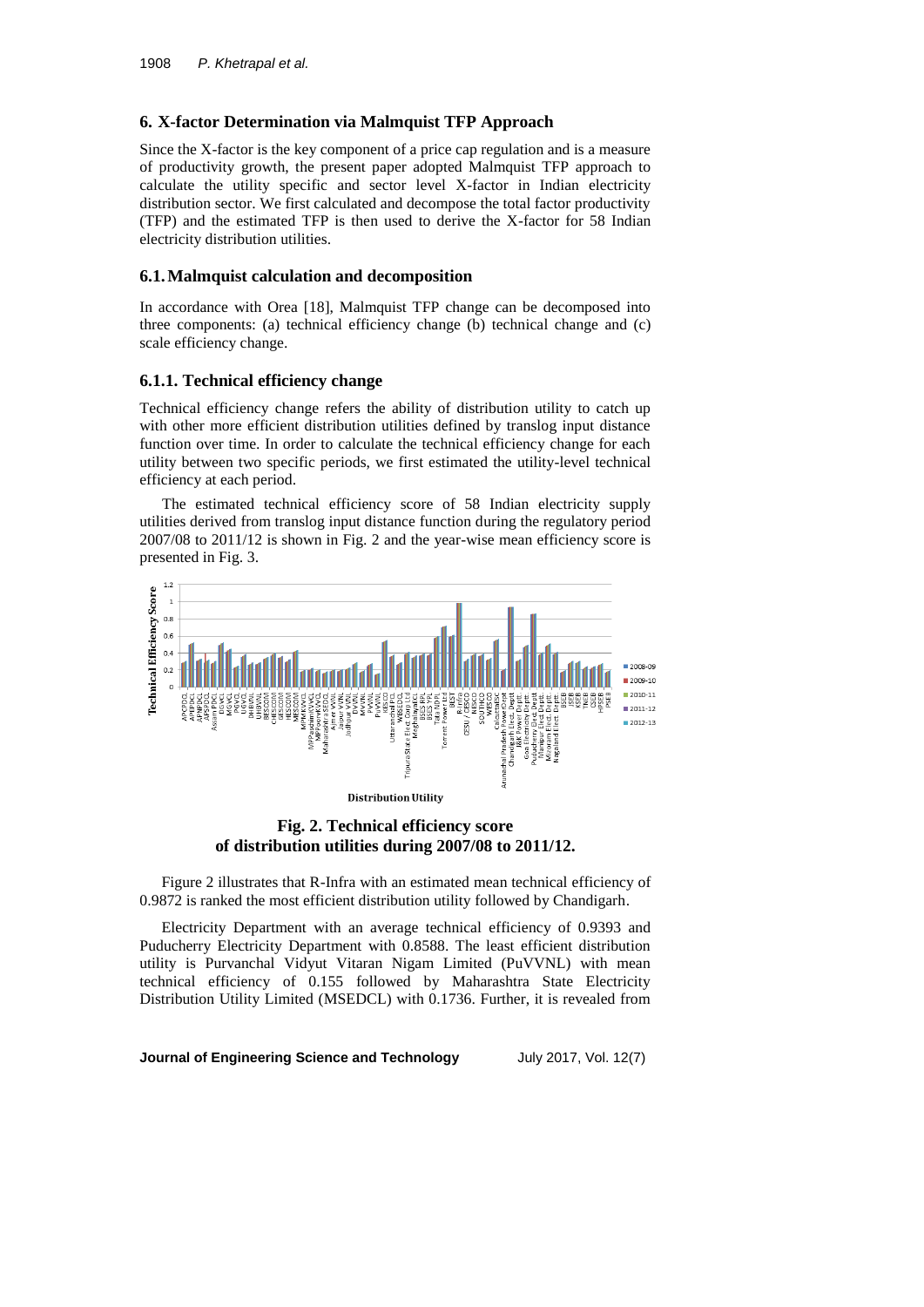## **6. X-factor Determination via Malmquist TFP Approach**

Since the X-factor is the key component of a price cap regulation and is a measure of productivity growth, the present paper adopted Malmquist TFP approach to calculate the utility specific and sector level X-factor in Indian electricity distribution sector. We first calculated and decompose the total factor productivity (TFP) and the estimated TFP is then used to derive the X-factor for 58 Indian electricity distribution utilities.

#### **6.1.Malmquist calculation and decomposition**

In accordance with Orea [18], Malmquist TFP change can be decomposed into three components: (a) technical efficiency change (b) technical change and (c) scale efficiency change.

#### **6.1.1. Technical efficiency change**

Technical efficiency change refers the ability of distribution utility to catch up with other more efficient distribution utilities defined by translog input distance function over time. In order to calculate the technical efficiency change for each utility between two specific periods, we first estimated the utility-level technical efficiency at each period.

The estimated technical efficiency score of 58 Indian electricity supply utilities derived from translog input distance function during the regulatory period 2007/08 to 2011/12 is shown in Fig. 2 and the year-wise mean efficiency score is presented in Fig. 3.



**Fig. 2. Technical efficiency score of distribution utilities during 2007/08 to 2011/12.**

Figure 2 illustrates that R-Infra with an estimated mean technical efficiency of 0.9872 is ranked the most efficient distribution utility followed by Chandigarh.

Electricity Department with an average technical efficiency of 0.9393 and Puducherry Electricity Department with 0.8588. The least efficient distribution utility is Purvanchal Vidyut Vitaran Nigam Limited (PuVVNL) with mean technical efficiency of 0.155 followed by Maharashtra State Electricity Distribution Utility Limited (MSEDCL) with 0.1736. Further, it is revealed from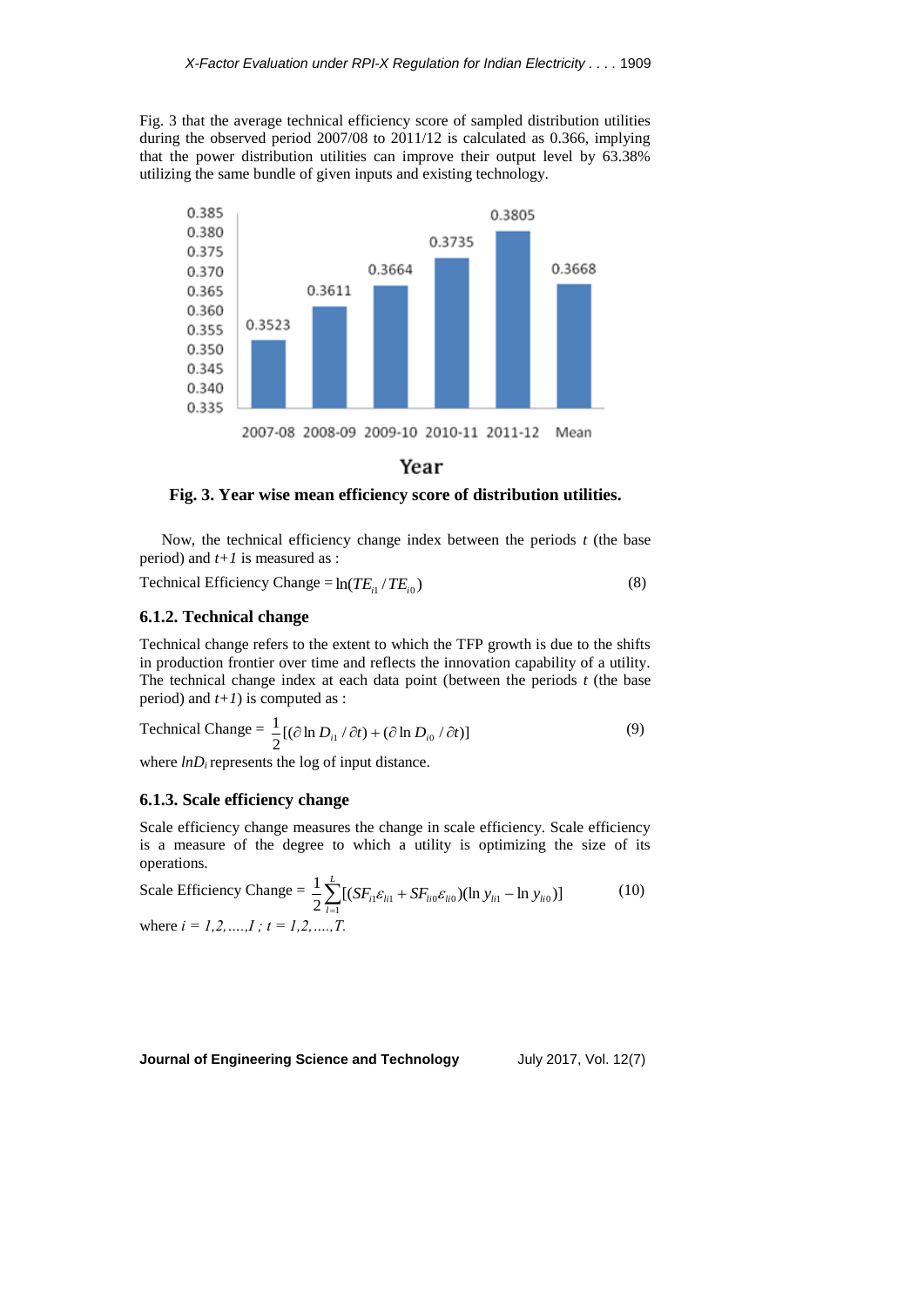Fig. 3 that the average technical efficiency score of sampled distribution utilities during the observed period 2007/08 to 2011/12 is calculated as 0.366, implying that the power distribution utilities can improve their output level by 63.38% utilizing the same bundle of given inputs and existing technology.



# Year

#### **Fig. 3. Year wise mean efficiency score of distribution utilities.**

Now, the technical efficiency change index between the periods *t* (the base period) and *t+1* is measured as :

Technical Efficiency Change =  $\ln(TE_i / TE_i)$ (8)

#### **6.1.2. Technical change**

Technical change refers to the extent to which the TFP growth is due to the shifts in production frontier over time and reflects the innovation capability of a utility. The technical change index at each data point (between the periods *t* (the base period) and *t+1*) is computed as :

Technical Change = 
$$
\frac{1}{2} [(\partial \ln D_{i1} / \partial t) + (\partial \ln D_{i0} / \partial t)]
$$
 (9)

where  $lnD_i$  represents the log of input distance.

#### **6.1.3. Scale efficiency change**

Scale efficiency change measures the change in scale efficiency. Scale efficiency is a measure of the degree to which a utility is optimizing the size of its operations.

Scale Efficiency Change = 
$$
\frac{1}{2} \sum_{i=1}^{L} [(SF_{i1} \varepsilon_{i11} + SF_{li0} \varepsilon_{li0}) (\ln y_{i11} - \ln y_{i10})]
$$
 (10)  
where  $i = 1, 2, ..., I$ ;  $t = 1, 2, ..., T$ .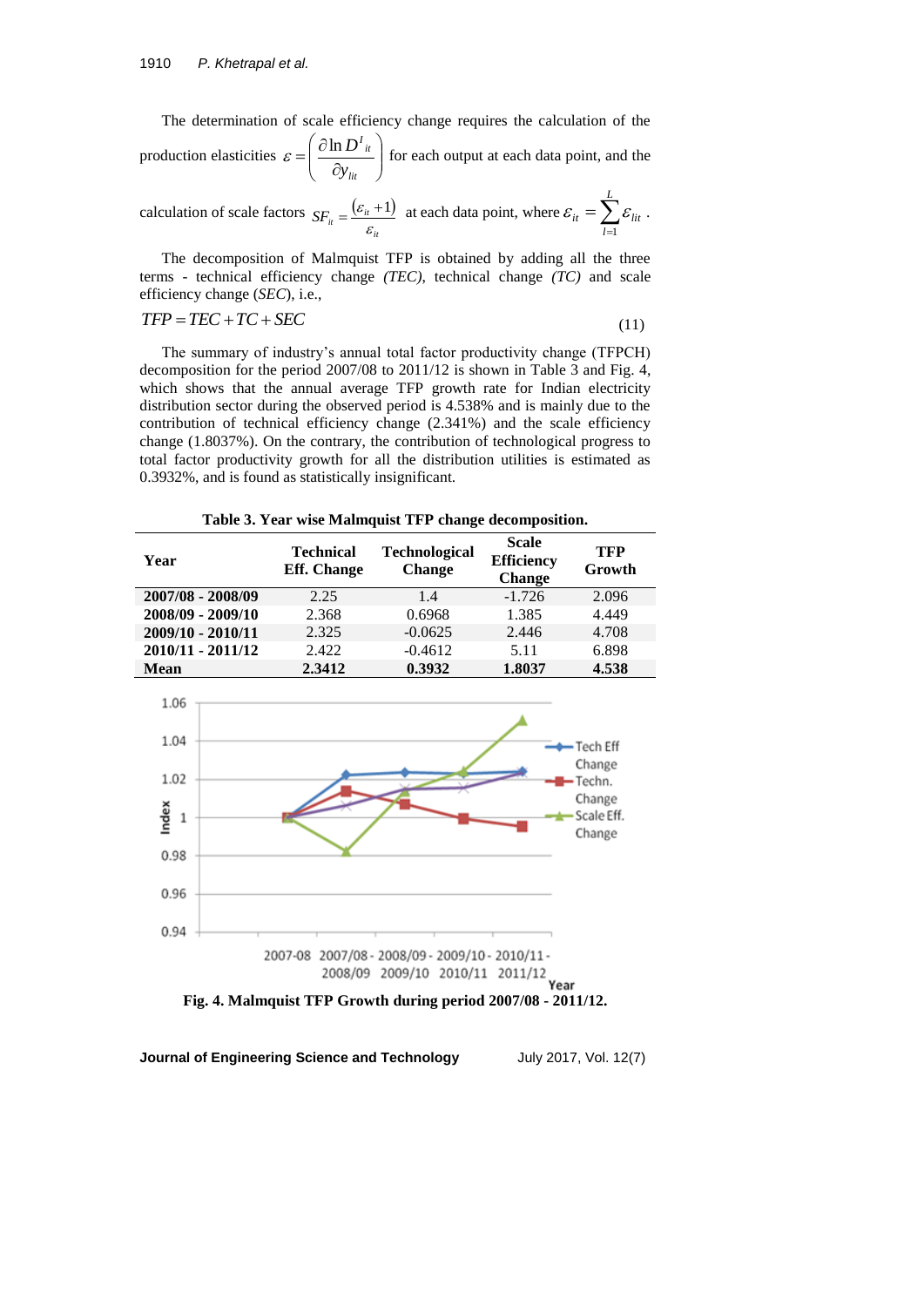The determination of scale efficiency change requires the calculation of the production elasticities  $\varepsilon = \left(\frac{\partial \ln D}{\partial y}\right)^n$ J  $\left( \right)$  $\overline{\phantom{a}}$  $\setminus$ ſ  $\partial$  $=\left(\begin{array}{c}\n\frac{\partial}{\partial x}\n\end{array}\right)$ *lit it I y*  $\varepsilon = \left(\frac{\partial \ln D^T u}{\partial \varepsilon}\right)$  for each output at each data point, and the

calculation of scale factors  $SF = \frac{(\varepsilon_{ii} + 1)}{2}$  $SF_{it} = \frac{V_{it}}{\varepsilon_{it}}$  $=\frac{(\varepsilon_{it}+1)}{\varepsilon_{it}}$  at each data point, where  $\varepsilon_{it} = \sum_{l=1}$ *L l it*  $\mathcal{L}$   $\mathcal{L}$  *lit* 1  $\varepsilon_{it} = \sum \varepsilon_{lit}$ .

The decomposition of Malmquist TFP is obtained by adding all the three terms - technical efficiency change *(TEC)*, technical change *(TC)* and scale efficiency change (*SEC*), i.e.,

$$
TFP = TEC + TC + SEC \tag{11}
$$

The summary of industry's annual total factor productivity change (TFPCH) decomposition for the period 2007/08 to 2011/12 is shown in Table 3 and Fig. 4, which shows that the annual average TFP growth rate for Indian electricity distribution sector during the observed period is 4.538% and is mainly due to the contribution of technical efficiency change (2.341%) and the scale efficiency change (1.8037%). On the contrary, the contribution of technological progress to total factor productivity growth for all the distribution utilities is estimated as 0.3932%, and is found as statistically insignificant.

**Table 3. Year wise Malmquist TFP change decomposition.**

| Year              | <b>Technical</b><br><b>Eff.</b> Change | <b>Technological</b><br><b>Change</b> | <b>Scale</b><br><b>Efficiency</b><br><b>Change</b> | <b>TFP</b><br>Growth |
|-------------------|----------------------------------------|---------------------------------------|----------------------------------------------------|----------------------|
| 2007/08 - 2008/09 | 2.25                                   | 1.4                                   | $-1.726$                                           | 2.096                |
| 2008/09 - 2009/10 | 2.368                                  | 0.6968                                | 1.385                                              | 4.449                |
| 2009/10 - 2010/11 | 2.325                                  | $-0.0625$                             | 2.446                                              | 4.708                |
| 2010/11 - 2011/12 | 2.422                                  | $-0.4612$                             | 5.11                                               | 6.898                |
| Mean              | 2.3412                                 | 0.3932                                | 1.8037                                             | 4.538                |

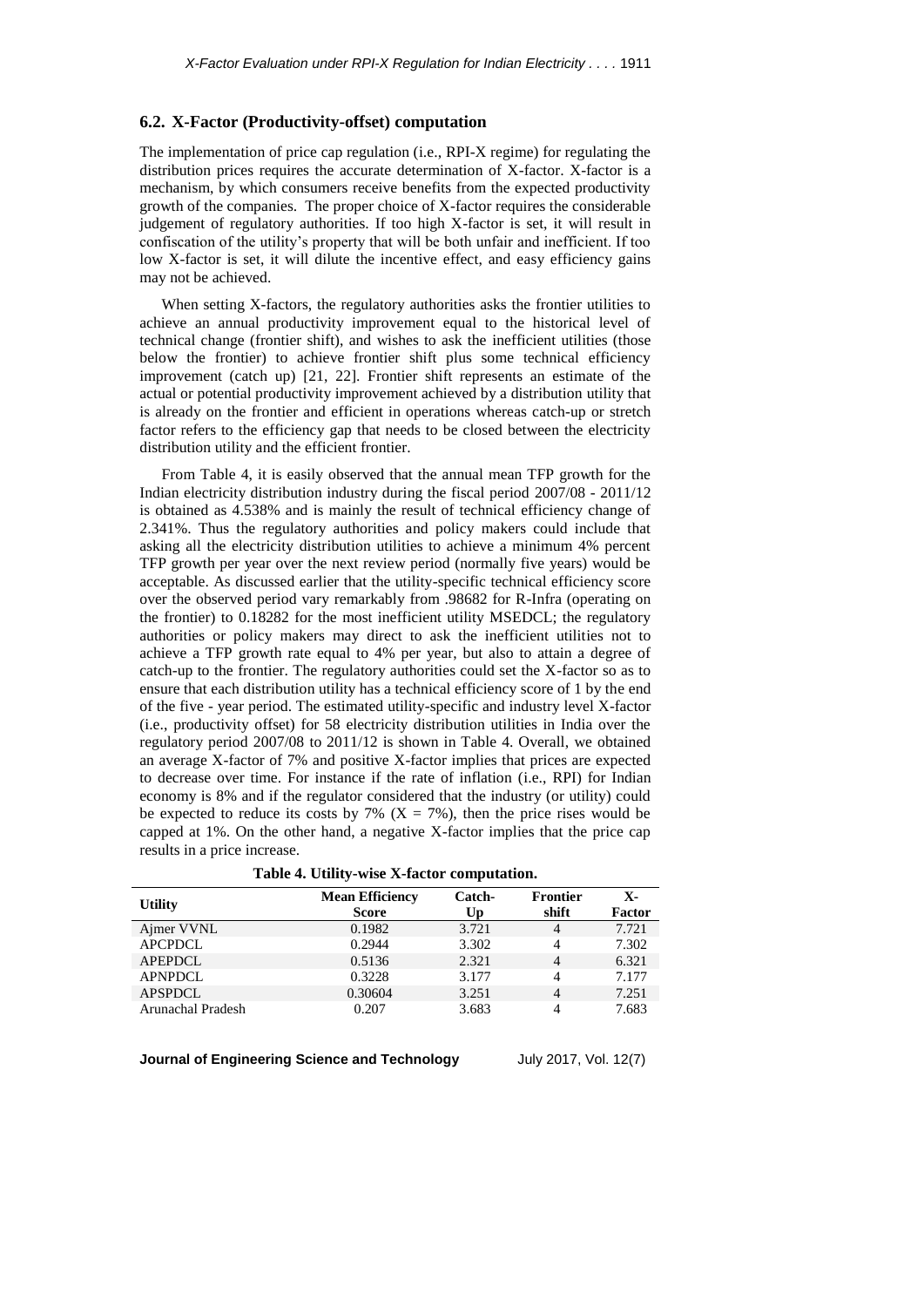## **6.2. X-Factor (Productivity-offset) computation**

The implementation of price cap regulation (i.e., RPI-X regime) for regulating the distribution prices requires the accurate determination of X-factor. X-factor is a mechanism, by which consumers receive benefits from the expected productivity growth of the companies. The proper choice of X-factor requires the considerable judgement of regulatory authorities. If too high X-factor is set, it will result in confiscation of the utility's property that will be both unfair and inefficient. If too low X-factor is set, it will dilute the incentive effect, and easy efficiency gains may not be achieved.

When setting X-factors, the regulatory authorities asks the frontier utilities to achieve an annual productivity improvement equal to the historical level of technical change (frontier shift), and wishes to ask the inefficient utilities (those below the frontier) to achieve frontier shift plus some technical efficiency improvement (catch up) [21, 22]. Frontier shift represents an estimate of the actual or potential productivity improvement achieved by a distribution utility that is already on the frontier and efficient in operations whereas catch-up or stretch factor refers to the efficiency gap that needs to be closed between the electricity distribution utility and the efficient frontier.

From Table 4, it is easily observed that the annual mean TFP growth for the Indian electricity distribution industry during the fiscal period 2007/08 - 2011/12 is obtained as 4.538% and is mainly the result of technical efficiency change of 2.341%. Thus the regulatory authorities and policy makers could include that asking all the electricity distribution utilities to achieve a minimum 4% percent TFP growth per year over the next review period (normally five years) would be acceptable. As discussed earlier that the utility-specific technical efficiency score over the observed period vary remarkably from .98682 for R-Infra (operating on the frontier) to 0.18282 for the most inefficient utility MSEDCL; the regulatory authorities or policy makers may direct to ask the inefficient utilities not to achieve a TFP growth rate equal to 4% per year, but also to attain a degree of catch-up to the frontier. The regulatory authorities could set the X-factor so as to ensure that each distribution utility has a technical efficiency score of 1 by the end of the five - year period. The estimated utility-specific and industry level X-factor (i.e., productivity offset) for 58 electricity distribution utilities in India over the regulatory period 2007/08 to 2011/12 is shown in Table 4. Overall, we obtained an average X-factor of 7% and positive X-factor implies that prices are expected to decrease over time. For instance if the rate of inflation (i.e., RPI) for Indian economy is 8% and if the regulator considered that the industry (or utility) could be expected to reduce its costs by 7% ( $X = 7$ %), then the price rises would be capped at 1%. On the other hand, a negative X-factor implies that the price cap results in a price increase.

|  |  |  | Table 4. Utility-wise X-factor computation. |  |
|--|--|--|---------------------------------------------|--|
|--|--|--|---------------------------------------------|--|

| <b>Utility</b>    | <b>Mean Efficiency</b><br><b>Score</b> | Catch-<br>Up | <b>Frontier</b><br>shift | Х-<br><b>Factor</b> |
|-------------------|----------------------------------------|--------------|--------------------------|---------------------|
| Ajmer VVNL        | 0.1982                                 | 3.721        | 4                        | 7.721               |
| <b>APCPDCL</b>    | 0.2944                                 | 3.302        | 4                        | 7.302               |
| <b>APEPDCL</b>    | 0.5136                                 | 2.321        | 4                        | 6.321               |
| <b>APNPDCL</b>    | 0.3228                                 | 3.177        | $\overline{4}$           | 7.177               |
| <b>APSPDCL</b>    | 0.30604                                | 3.251        | 4                        | 7.251               |
| Arunachal Pradesh | 0.207                                  | 3.683        | 4                        | 7.683               |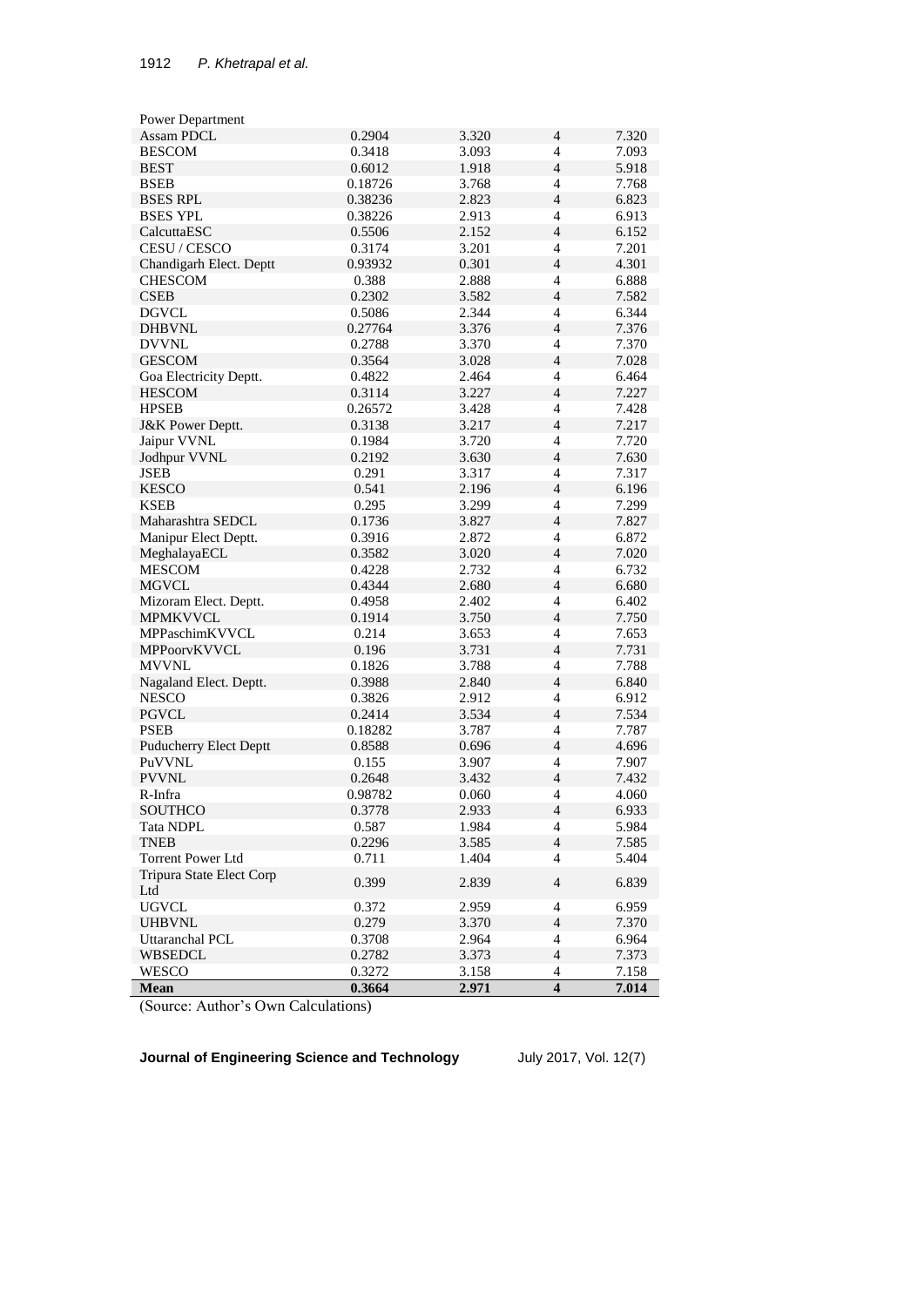| Power Department                |         |                |                          |       |
|---------------------------------|---------|----------------|--------------------------|-------|
| Assam PDCL                      | 0.2904  | 3.320          | 4                        | 7.320 |
| <b>BESCOM</b>                   | 0.3418  | 3.093          | $\overline{4}$           | 7.093 |
| <b>BEST</b>                     | 0.6012  | 1.918          | $\overline{4}$           | 5.918 |
| <b>BSEB</b>                     | 0.18726 | 3.768          | $\overline{4}$           | 7.768 |
| <b>BSES RPL</b>                 | 0.38236 | 2.823          | 4                        | 6.823 |
| <b>BSES YPL</b>                 | 0.38226 | 2.913          | 4                        | 6.913 |
| CalcuttaESC                     | 0.5506  | 2.152          | $\overline{4}$           | 6.152 |
| CESU / CESCO                    | 0.3174  | 3.201          | $\overline{4}$           | 7.201 |
| Chandigarh Elect. Deptt         | 0.93932 | 0.301          | $\overline{4}$           | 4.301 |
| <b>CHESCOM</b>                  | 0.388   | 2.888          | $\overline{4}$           | 6.888 |
| <b>CSEB</b>                     | 0.2302  | 3.582          | $\overline{4}$           | 7.582 |
| <b>DGVCL</b>                    | 0.5086  | 2.344          | 4                        | 6.344 |
| <b>DHBVNL</b>                   | 0.27764 | 3.376          | $\overline{4}$           | 7.376 |
| <b>DVVNL</b>                    | 0.2788  | 3.370          | $\overline{4}$           | 7.370 |
| <b>GESCOM</b>                   | 0.3564  | 3.028          | $\overline{4}$           | 7.028 |
| Goa Electricity Deptt.          | 0.4822  | 2.464          | 4                        | 6.464 |
| <b>HESCOM</b>                   | 0.3114  | 3.227          | $\overline{4}$           | 7.227 |
| <b>HPSEB</b>                    | 0.26572 | 3.428          | $\overline{4}$           | 7.428 |
| <b>J&amp;K Power Deptt.</b>     | 0.3138  | 3.217          | $\overline{4}$           | 7.217 |
| Jaipur VVNL                     | 0.1984  | 3.720          | 4                        | 7.720 |
|                                 | 0.2192  |                | $\overline{4}$           | 7.630 |
| Jodhpur VVNL<br><b>JSEB</b>     | 0.291   | 3.630<br>3.317 | $\overline{4}$           | 7.317 |
|                                 |         |                | $\overline{4}$           |       |
| <b>KESCO</b>                    | 0.541   | 2.196          |                          | 6.196 |
| <b>KSEB</b>                     | 0.295   | 3.299          | $\overline{4}$           | 7.299 |
| Maharashtra SEDCL               | 0.1736  | 3.827          | $\overline{4}$           | 7.827 |
| Manipur Elect Deptt.            | 0.3916  | 2.872          | $\overline{4}$           | 6.872 |
| MeghalayaECL                    | 0.3582  | 3.020          | 4                        | 7.020 |
| <b>MESCOM</b>                   | 0.4228  | 2.732          | $\overline{\mathcal{L}}$ | 6.732 |
| <b>MGVCL</b>                    | 0.4344  | 2.680          | $\overline{4}$           | 6.680 |
| Mizoram Elect. Deptt.           | 0.4958  | 2.402          | 4                        | 6.402 |
| <b>MPMKVVCL</b>                 | 0.1914  | 3.750          | $\overline{4}$           | 7.750 |
| MPPaschimKVVCL                  | 0.214   | 3.653          | $\overline{4}$           | 7.653 |
| MPPoorvKVVCL                    | 0.196   | 3.731          | $\overline{4}$           | 7.731 |
| <b>MVVNL</b>                    | 0.1826  | 3.788          | 4                        | 7.788 |
| Nagaland Elect. Deptt.          | 0.3988  | 2.840          | $\overline{4}$           | 6.840 |
| <b>NESCO</b>                    | 0.3826  | 2.912          | $\overline{4}$           | 6.912 |
| <b>PGVCL</b>                    | 0.2414  | 3.534          | $\overline{4}$           | 7.534 |
| <b>PSEB</b>                     | 0.18282 | 3.787          | 4                        | 7.787 |
| <b>Puducherry Elect Deptt</b>   | 0.8588  | 0.696          | $\overline{4}$           | 4.696 |
| PuVVNL                          | 0.155   | 3.907          | $\overline{4}$           | 7.907 |
| <b>PVVNL</b>                    | 0.2648  | 3.432          | $\overline{4}$           | 7.432 |
| R-Infra                         | 0.98782 | 0.060          | 4                        | 4.060 |
| <b>SOUTHCO</b>                  | 0.3778  | 2.933          | $\overline{4}$           | 6.933 |
| <b>Tata NDPL</b>                | 0.587   | 1.984          | 4                        | 5.984 |
| <b>TNEB</b>                     | 0.2296  | 3.585          | $\overline{4}$           | 7.585 |
| Torrent Power Ltd               | 0.711   | 1.404          | $\overline{4}$           | 5.404 |
| Tripura State Elect Corp<br>Ltd | 0.399   | 2.839          | $\overline{4}$           | 6.839 |
| <b>UGVCL</b>                    | 0.372   | 2.959          | 4                        | 6.959 |
| <b>UHBVNL</b>                   | 0.279   | 3.370          | $\overline{4}$           | 7.370 |
| Uttaranchal PCL                 | 0.3708  | 2.964          | $\overline{4}$           | 6.964 |
| <b>WBSEDCL</b>                  | 0.2782  | 3.373          | $\overline{4}$           | 7.373 |
| WESCO                           | 0.3272  | 3.158          | 4                        | 7.158 |
| Mean                            | 0.3664  | 2.971          | 4                        | 7.014 |

(Source: Author's Own Calculations)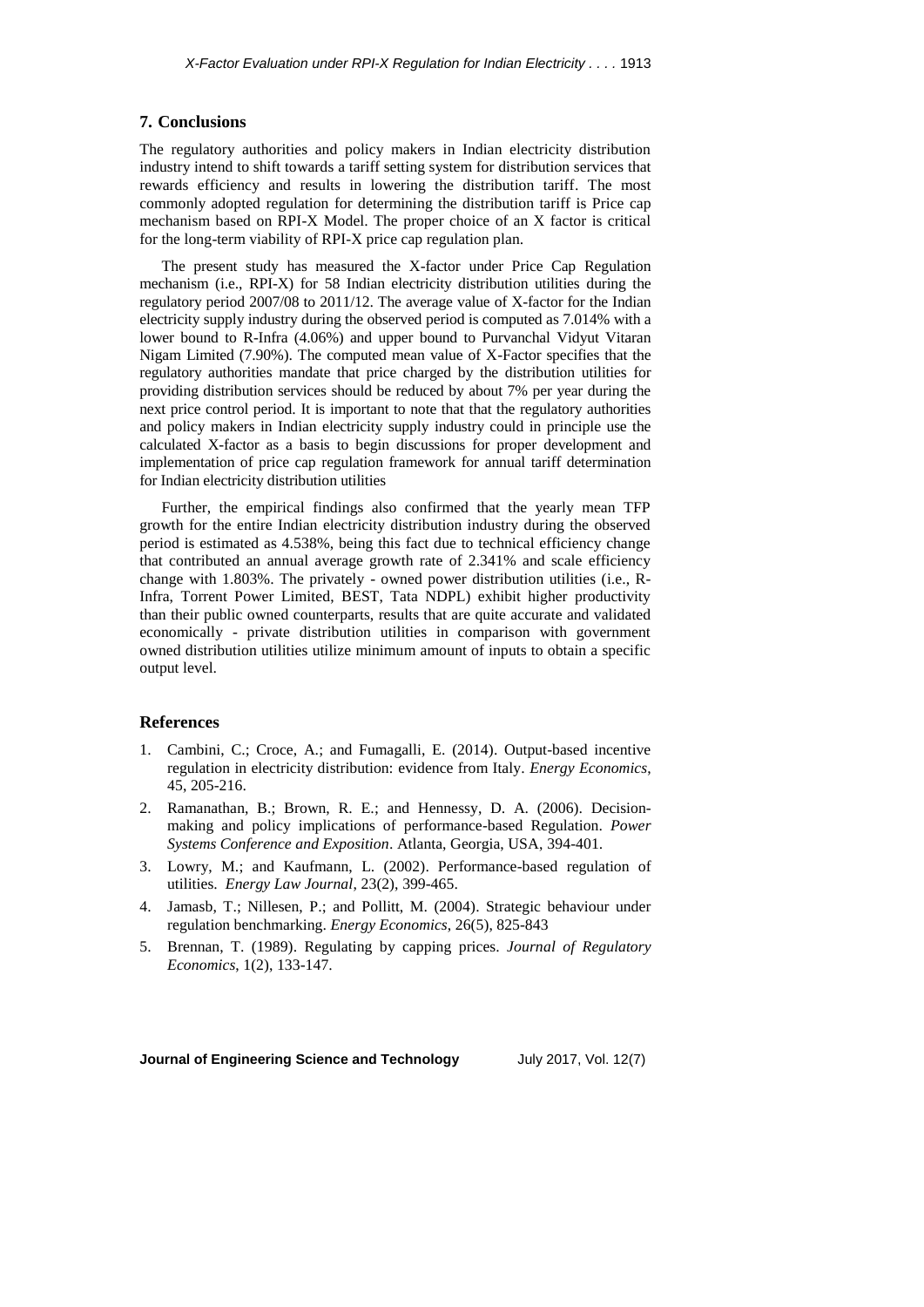## **7. Conclusions**

The regulatory authorities and policy makers in Indian electricity distribution industry intend to shift towards a tariff setting system for distribution services that rewards efficiency and results in lowering the distribution tariff. The most commonly adopted regulation for determining the distribution tariff is Price cap mechanism based on RPI-X Model. The proper choice of an X factor is critical for the long-term viability of RPI-X price cap regulation plan.

The present study has measured the X-factor under Price Cap Regulation mechanism (i.e., RPI-X) for 58 Indian electricity distribution utilities during the regulatory period 2007/08 to 2011/12. The average value of X-factor for the Indian electricity supply industry during the observed period is computed as 7.014% with a lower bound to R-Infra (4.06%) and upper bound to Purvanchal Vidyut Vitaran Nigam Limited (7.90%). The computed mean value of X-Factor specifies that the regulatory authorities mandate that price charged by the distribution utilities for providing distribution services should be reduced by about 7% per year during the next price control period. It is important to note that that the regulatory authorities and policy makers in Indian electricity supply industry could in principle use the calculated X-factor as a basis to begin discussions for proper development and implementation of price cap regulation framework for annual tariff determination for Indian electricity distribution utilities

Further, the empirical findings also confirmed that the yearly mean TFP growth for the entire Indian electricity distribution industry during the observed period is estimated as 4.538%, being this fact due to technical efficiency change that contributed an annual average growth rate of 2.341% and scale efficiency change with 1.803%. The privately - owned power distribution utilities (i.e., R-Infra, Torrent Power Limited, BEST, Tata NDPL) exhibit higher productivity than their public owned counterparts, results that are quite accurate and validated economically - private distribution utilities in comparison with government owned distribution utilities utilize minimum amount of inputs to obtain a specific output level.

#### **References**

- 1. Cambini, C.; Croce, A.; and Fumagalli, E. (2014). Output-based incentive regulation in electricity distribution: evidence from Italy. *Energy Economics*, 45, 205-216.
- 2. Ramanathan, B.; Brown, R. E.; and Hennessy, D. A. (2006). Decisionmaking and policy implications of performance-based Regulation. *Power Systems Conference and Exposition*. Atlanta, Georgia, USA, 394-401.
- 3. Lowry, M.; and Kaufmann, L. (2002). Performance-based regulation of utilities. *Energy Law Journal*, 23(2), 399-465.
- 4. Jamasb, T.; Nillesen, P.; and Pollitt, M. (2004). Strategic behaviour under regulation benchmarking. *Energy Economics*, 26(5), 825-843
- 5. Brennan, T. (1989). Regulating by capping prices. *Journal of Regulatory Economics*, 1(2), 133-147.